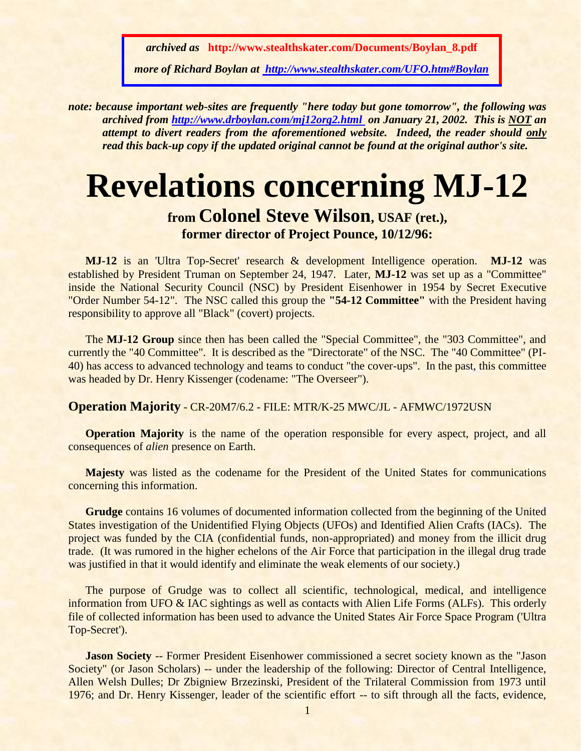*archived as* **http://www.stealthskater.com/Documents/Boylan\_8.pdf**

*more of Richard Boylan at [http://www.stealthskater.com/UFO.htm#Boylan](http://www.stealthskater.com/Science.htm#Baker)*

*note: because important web-sites are frequently "here today but gone tomorrow", the following was archived from <http://www.drboylan.com/mj12org2.html>on January 21, 2002. This is NOT an attempt to divert readers from the aforementioned website. Indeed, the reader should only read this back-up copy if the updated original cannot be found at the original author's site.*

## **Revelations concerning MJ-12**

## **from Colonel Steve Wilson, USAF (ret.), former director of Project Pounce, 10/12/96:**

**MJ-12** is an 'Ultra Top-Secret' research & development Intelligence operation. **MJ-12** was established by President Truman on September 24, 1947. Later, **MJ-12** was set up as a "Committee" inside the National Security Council (NSC) by President Eisenhower in 1954 by Secret Executive "Order Number 54-12". The NSC called this group the **"54-12 Committee"** with the President having responsibility to approve all "Black" (covert) projects.

The **MJ-12 Group** since then has been called the "Special Committee", the "303 Committee", and currently the "40 Committee". It is described as the "Directorate" of the NSC. The "40 Committee" (PI-40) has access to advanced technology and teams to conduct "the cover-ups". In the past, this committee was headed by Dr. Henry Kissenger (codename: "The Overseer").

## **Operation Majority** - CR-20M7/6.2 - FILE: MTR/K-25 MWC/JL - AFMWC/1972USN

**Operation Majority** is the name of the operation responsible for every aspect, project, and all consequences of *alien* presence on Earth.

**Majesty** was listed as the codename for the President of the United States for communications concerning this information.

**Grudge** contains 16 volumes of documented information collected from the beginning of the United States investigation of the Unidentified Flying Objects (UFOs) and Identified Alien Crafts (IACs). The project was funded by the CIA (confidential funds, non-appropriated) and money from the illicit drug trade. (It was rumored in the higher echelons of the Air Force that participation in the illegal drug trade was justified in that it would identify and eliminate the weak elements of our society.)

The purpose of Grudge was to collect all scientific, technological, medical, and intelligence information from UFO & IAC sightings as well as contacts with Alien Life Forms (ALFs). This orderly file of collected information has been used to advance the United States Air Force Space Program ('Ultra Top-Secret').

**Jason Society** -- Former President Eisenhower commissioned a secret society known as the "Jason" Society" (or Jason Scholars) -- under the leadership of the following: Director of Central Intelligence, Allen Welsh Dulles; Dr Zbigniew Brzezinski, President of the Trilateral Commission from 1973 until 1976; and Dr. Henry Kissenger, leader of the scientific effort -- to sift through all the facts, evidence,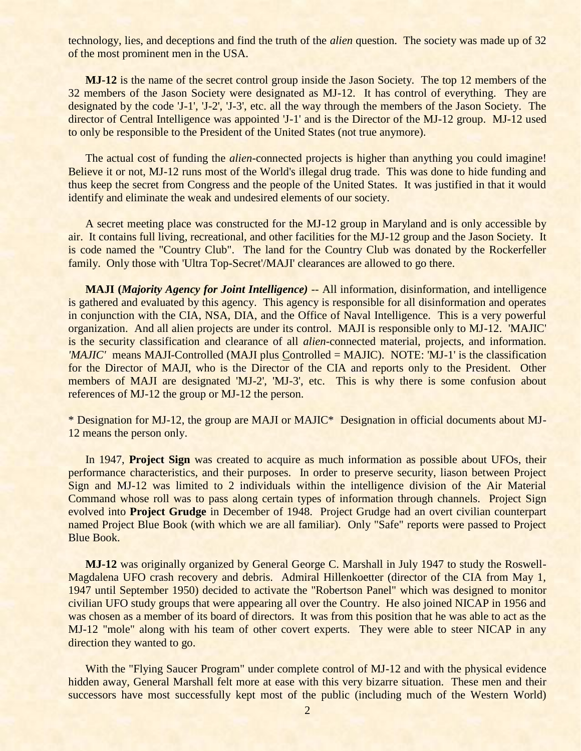technology, lies, and deceptions and find the truth of the *alien* question. The society was made up of 32 of the most prominent men in the USA.

**MJ-12** is the name of the secret control group inside the Jason Society. The top 12 members of the 32 members of the Jason Society were designated as MJ-12. It has control of everything. They are designated by the code 'J-1', 'J-2', 'J-3', etc. all the way through the members of the Jason Society. The director of Central Intelligence was appointed 'J-1' and is the Director of the MJ-12 group. MJ-12 used to only be responsible to the President of the United States (not true anymore).

The actual cost of funding the *alien*-connected projects is higher than anything you could imagine! Believe it or not, MJ-12 runs most of the World's illegal drug trade. This was done to hide funding and thus keep the secret from Congress and the people of the United States. It was justified in that it would identify and eliminate the weak and undesired elements of our society.

A secret meeting place was constructed for the MJ-12 group in Maryland and is only accessible by air. It contains full living, recreational, and other facilities for the MJ-12 group and the Jason Society. It is code named the "Country Club". The land for the Country Club was donated by the Rockerfeller family. Only those with 'Ultra Top-Secret'/MAJI' clearances are allowed to go there.

**MAJI (***Majority Agency for Joint Intelligence) --* All information, disinformation, and intelligence is gathered and evaluated by this agency. This agency is responsible for all disinformation and operates in conjunction with the CIA, NSA, DIA, and the Office of Naval Intelligence. This is a very powerful organization. And all alien projects are under its control. MAJI is responsible only to MJ-12. 'MAJIC' is the security classification and clearance of all *alien*-connected material, projects, and information. *'MAJIC'* means MAJI-Controlled (MAJI plus Controlled = MAJIC). NOTE: 'MJ-1' is the classification for the Director of MAJI, who is the Director of the CIA and reports only to the President. Other members of MAJI are designated 'MJ-2', 'MJ-3', etc. This is why there is some confusion about references of MJ-12 the group or MJ-12 the person.

\* Designation for MJ-12, the group are MAJI or MAJIC\* Designation in official documents about MJ-12 means the person only.

In 1947, **Project Sign** was created to acquire as much information as possible about UFOs, their performance characteristics, and their purposes. In order to preserve security, liason between Project Sign and MJ-12 was limited to 2 individuals within the intelligence division of the Air Material Command whose roll was to pass along certain types of information through channels. Project Sign evolved into **Project Grudge** in December of 1948. Project Grudge had an overt civilian counterpart named Project Blue Book (with which we are all familiar). Only "Safe" reports were passed to Project Blue Book.

**MJ-12** was originally organized by General George C. Marshall in July 1947 to study the Roswell-Magdalena UFO crash recovery and debris. Admiral Hillenkoetter (director of the CIA from May 1, 1947 until September 1950) decided to activate the "Robertson Panel" which was designed to monitor civilian UFO study groups that were appearing all over the Country. He also joined NICAP in 1956 and was chosen as a member of its board of directors. It was from this position that he was able to act as the MJ-12 "mole" along with his team of other covert experts. They were able to steer NICAP in any direction they wanted to go.

With the "Flying Saucer Program" under complete control of MJ-12 and with the physical evidence hidden away, General Marshall felt more at ease with this very bizarre situation. These men and their successors have most successfully kept most of the public (including much of the Western World)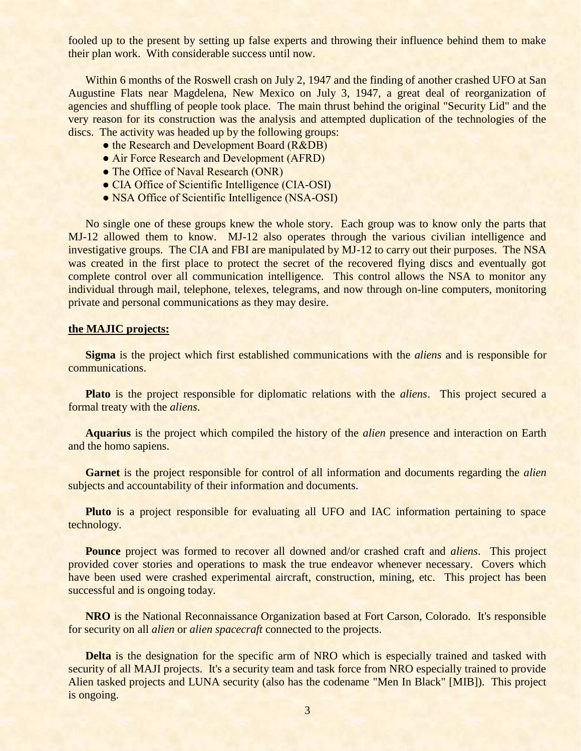fooled up to the present by setting up false experts and throwing their influence behind them to make their plan work. With considerable success until now.

Within 6 months of the Roswell crash on July 2, 1947 and the finding of another crashed UFO at San Augustine Flats near Magdelena, New Mexico on July 3, 1947, a great deal of reorganization of agencies and shuffling of people took place. The main thrust behind the original "Security Lid" and the very reason for its construction was the analysis and attempted duplication of the technologies of the discs. The activity was headed up by the following groups:

- the Research and Development Board (R&DB)
- Air Force Research and Development (AFRD)
- The Office of Naval Research (ONR)
- CIA Office of Scientific Intelligence (CIA-OSI)
- NSA Office of Scientific Intelligence (NSA-OSI)

No single one of these groups knew the whole story. Each group was to know only the parts that MJ-12 allowed them to know. MJ-12 also operates through the various civilian intelligence and investigative groups. The CIA and FBI are manipulated by MJ-12 to carry out their purposes. The NSA was created in the first place to protect the secret of the recovered flying discs and eventually got complete control over all communication intelligence. This control allows the NSA to monitor any individual through mail, telephone, telexes, telegrams, and now through on-line computers, monitoring private and personal communications as they may desire.

## **the MAJIC projects:**

**Sigma** is the project which first established communications with the *aliens* and is responsible for communications.

**Plato** is the project responsible for diplomatic relations with the *aliens*. This project secured a formal treaty with the *aliens*.

**Aquarius** is the project which compiled the history of the *alien* presence and interaction on Earth and the homo sapiens.

**Garnet** is the project responsible for control of all information and documents regarding the *alien* subjects and accountability of their information and documents.

**Pluto** is a project responsible for evaluating all UFO and IAC information pertaining to space technology.

**Pounce** project was formed to recover all downed and/or crashed craft and *aliens*. This project provided cover stories and operations to mask the true endeavor whenever necessary. Covers which have been used were crashed experimental aircraft, construction, mining, etc. This project has been successful and is ongoing today.

**NRO** is the National Reconnaissance Organization based at Fort Carson, Colorado. It's responsible for security on all *alien* or *alien spacecraft* connected to the projects.

**Delta** is the designation for the specific arm of NRO which is especially trained and tasked with security of all MAJI projects. It's a security team and task force from NRO especially trained to provide Alien tasked projects and LUNA security (also has the codename "Men In Black" [MIB]). This project is ongoing.